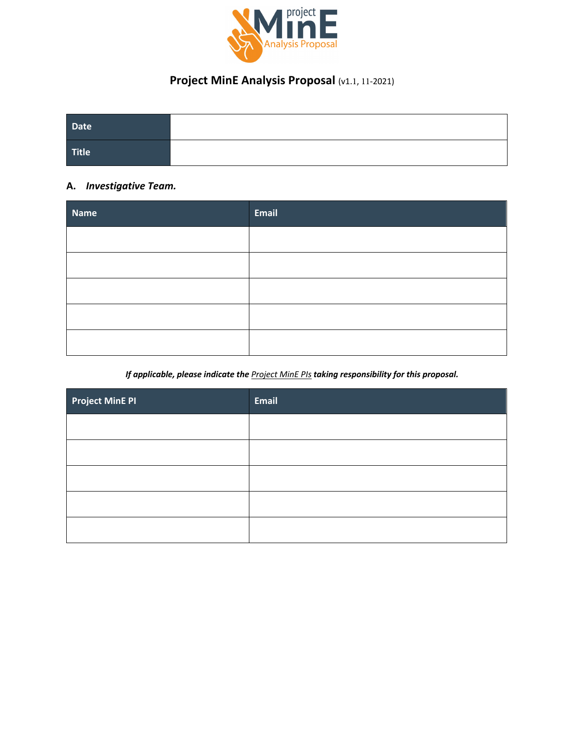

# **Project MinE Analysis Proposal** (v1.1, 11-2021)

| Date  |  |
|-------|--|
| Title |  |

# **A.** *Investigative Team.*

| <b>Name</b> | <b>Email</b> |
|-------------|--------------|
|             |              |
|             |              |
|             |              |
|             |              |
|             |              |

## *If applicable, please indicate the Project MinE PIs taking responsibility for this proposal.*

| <b>Project MinE PI</b> | <b>Email</b> |
|------------------------|--------------|
|                        |              |
|                        |              |
|                        |              |
|                        |              |
|                        |              |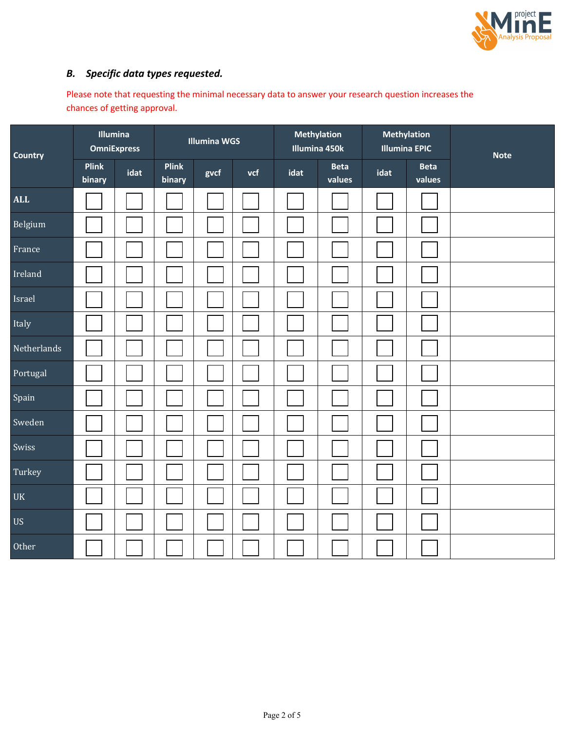

# *B. Specific data types requested.*

Please note that requesting the minimal necessary data to answer your research question increases the chances of getting approval.

| <b>Country</b>         | Illumina<br><b>OmniExpress</b> |      | <b>Illumina WGS</b>    |      |     | <b>Methylation</b><br>Illumina 450k |                       | <b>Methylation</b><br><b>Illumina EPIC</b> |                       | <b>Note</b> |
|------------------------|--------------------------------|------|------------------------|------|-----|-------------------------------------|-----------------------|--------------------------------------------|-----------------------|-------------|
|                        | <b>Plink</b><br>binary         | idat | <b>Plink</b><br>binary | gvcf | vcf | idat                                | <b>Beta</b><br>values | idat                                       | <b>Beta</b><br>values |             |
| <b>ALL</b>             |                                |      |                        |      |     |                                     |                       |                                            |                       |             |
| Belgium                |                                |      |                        |      |     |                                     |                       |                                            |                       |             |
| France                 |                                |      |                        |      |     |                                     |                       |                                            |                       |             |
| Ireland                |                                |      |                        |      |     |                                     |                       |                                            |                       |             |
| Israel                 |                                |      |                        |      |     |                                     |                       |                                            |                       |             |
| Italy                  |                                |      |                        |      |     |                                     |                       |                                            |                       |             |
| Netherlands            |                                |      |                        |      |     |                                     |                       |                                            |                       |             |
| Portugal               |                                |      |                        |      |     |                                     |                       |                                            |                       |             |
| Spain                  |                                |      |                        |      |     |                                     |                       |                                            |                       |             |
| Sweden                 |                                |      |                        |      |     |                                     |                       |                                            |                       |             |
| Swiss                  |                                |      |                        |      |     |                                     |                       |                                            |                       |             |
| Turkey                 |                                |      |                        |      |     |                                     |                       |                                            |                       |             |
| <b>UK</b>              |                                |      |                        |      |     |                                     |                       |                                            |                       |             |
| $\mathbf{U}\mathbf{S}$ |                                |      |                        |      |     |                                     |                       |                                            |                       |             |
| Other                  |                                |      |                        |      |     |                                     |                       |                                            |                       |             |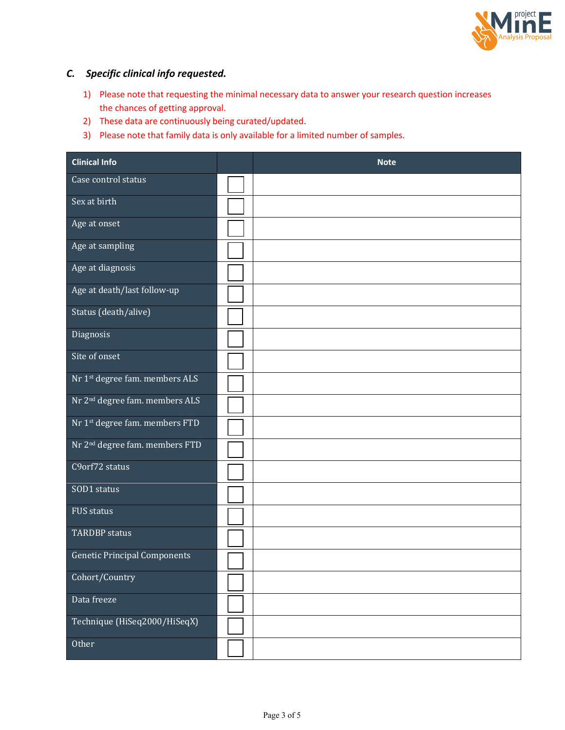

# *C. Specific clinical info requested.*

- 1) Please note that requesting the minimal necessary data to answer your research question increases the chances of getting approval.
- 2) These data are continuously being curated/updated.
- 3) Please note that family data is only available for a limited number of samples.

| <b>Clinical Info</b>                       | <b>Note</b> |
|--------------------------------------------|-------------|
| Case control status                        |             |
| Sex at birth                               |             |
| Age at onset                               |             |
| Age at sampling                            |             |
| Age at diagnosis                           |             |
| Age at death/last follow-up                |             |
| Status (death/alive)                       |             |
| Diagnosis                                  |             |
| Site of onset                              |             |
| Nr 1st degree fam. members ALS             |             |
| Nr 2 <sup>nd</sup> degree fam. members ALS |             |
| Nr 1st degree fam. members FTD             |             |
| Nr 2 <sup>nd</sup> degree fam. members FTD |             |
| C9orf72 status                             |             |
| SOD1 status                                |             |
| <b>FUS status</b>                          |             |
| <b>TARDBP</b> status                       |             |
| <b>Genetic Principal Components</b>        |             |
| Cohort/Country                             |             |
| Data freeze                                |             |
| Technique (HiSeq2000/HiSeqX)               |             |
| Other                                      |             |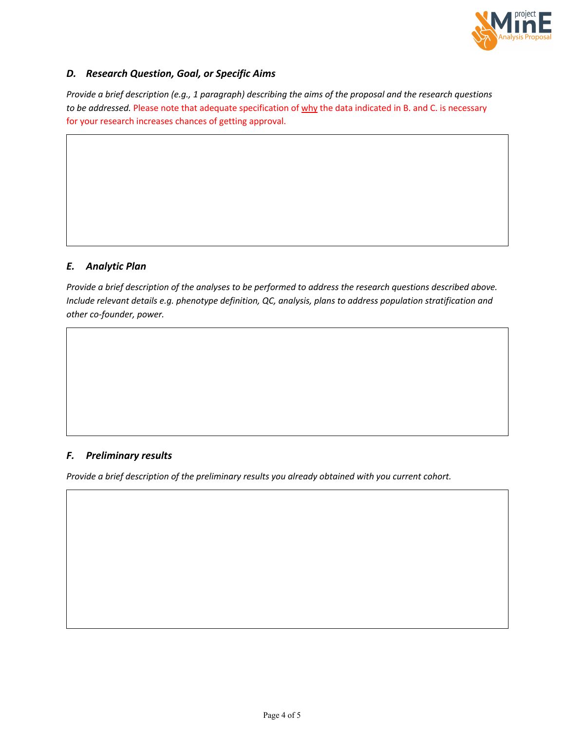

#### *D. Research Question, Goal, or Specific Aims*

*Provide a brief description (e.g., 1 paragraph) describing the aims of the proposal and the research questions to be addressed.* Please note that adequate specification of why the data indicated in B. and C. is necessary for your research increases chances of getting approval.

## *E. Analytic Plan*

*Provide a brief description of the analyses to be performed to address the research questions described above. Include relevant details e.g. phenotype definition, QC, analysis, plans to address population stratification and other co-founder, power.*

#### *F. Preliminary results*

*Provide a brief description of the preliminary results you already obtained with you current cohort.*